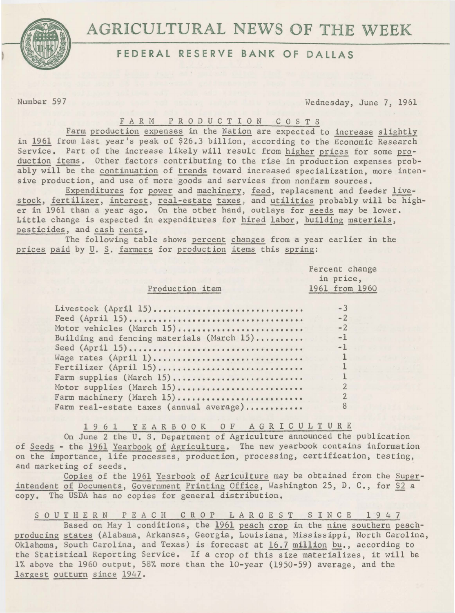# AGRICULTURAL NEWS OF THE WEEK



## **FEDERAL RESERVE BANK OF DALLAS**

Number 597 Wednesday, June 7, 1961

### FARM PRODUCTION COSTS

Farm production expenses in the Nation are expected to increase slightly in 1961 from last year's peak of \$26.3 billion, according to the Economic Research Service. Part of the increase likely will result from higher prices for some production items. Other factors contributing to the rise in production expenses probably will be the continuation of trends toward increased specialization, more intensive production, and use of more goods and services from nonfarm sources.

Expenditures for power and machinery, feed, replacement and feeder livestock, fertilizer, interest, real-estate taxes, and utilities probably will be higher in 1961 than a year ago. On the other hand, outlays for seeds may be lower. Little change is expected in expenditures for hired labor, building materials, pesticides, and cash rents.

The following table shows percent changes from a year earlier in the prices paid by *U*. S. farmers for production items this spring:

|                                           | Percent change<br>in price, |  |
|-------------------------------------------|-----------------------------|--|
| Production item                           | 1961 from 1960              |  |
| Livestock (April 15)                      | $-3$                        |  |
| Feed $(Apri1 15)$                         | $-2$                        |  |
| Motor vehicles (March 15)                 | $-2$                        |  |
| Building and fencing materials (March 15) | $-1$                        |  |
| Seed (April 15)                           | $-1$                        |  |
| Wage rates (April 1)                      |                             |  |
| Fertilizer (April 15)                     |                             |  |
| Farm supplies (March 15)                  |                             |  |
| Motor supplies (March 15)                 |                             |  |
| Farm machinery (March 15)                 |                             |  |
| Farm real-estate taxes (annual average)   | 8                           |  |

1 9 6 1 YEARBOOK 0 F *A* G R I C U L T U R E

On June 2 the U.S. Department of Agriculture announced the publication of Seeds - the 1961 Yearbook of Agriculture. The new yearbook contains information on the importance, life processes, production, processing, certification, testing, and marketing of seeds.

Copies of the 1961 Yearbook of Agriculture may be obtained from the Superintendent of Documents, Government Printing Office, Washington 25, D. C., for \$2 a copy. The USDA has no copies for general distribution.

S OUTHERN PEACH CROP LARGEST SINCE 1947

Based on May 1 conditions, the 1961 peach crop in the nine southern peachproducing states (Alabama, Arkansas, Georgia, Louisiana, Mississippi, North Carolina, Oklahoma, South Carolina, and Texas) is forecast at 16.7 million bu., according to the Statistical Reporting Service. If a crop of this size materializes, it will be 1% above the 1960 output, 58% more than the 10-year (1950-59) average, and the largest outturn since 1947.